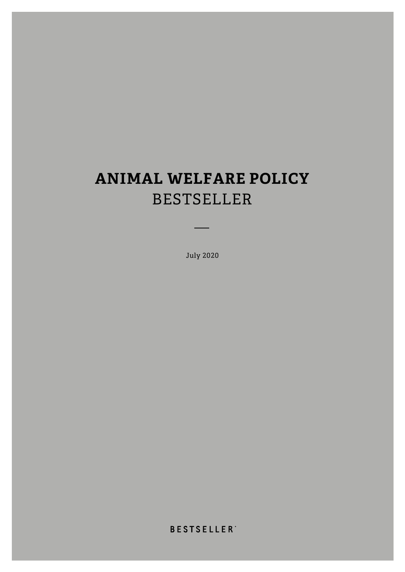# **ANIMAL WELFARE POLICY**  BESTSELLER

July 2020

**BESTSELLER**<sup>\*</sup>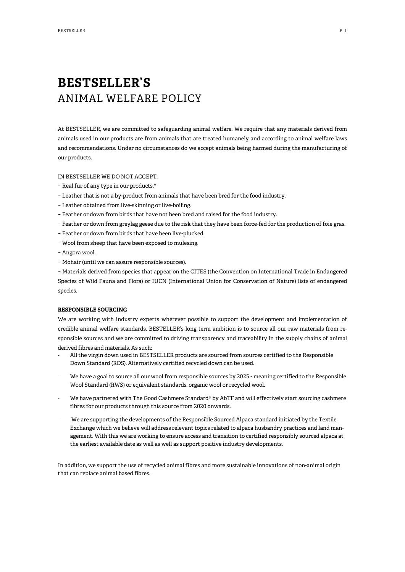## **BESTSELLER'S** ANIMAL WELFARE POLICY

At BESTSELLER, we are committed to safeguarding animal welfare. We require that any materials derived from animals used in our products are from animals that are treated humanely and according to animal welfare laws and recommendations. Under no circumstances do we accept animals being harmed during the manufacturing of our products.

#### IN BESTSELLER WE DO NOT ACCEPT:

- − Real fur of any type in our products.\*
- − Leather that is not a by-product from animals that have been bred for the food industry.
- − Leather obtained from live-skinning or live-boiling.
- − Feather or down from birds that have not been bred and raised for the food industry.
- − Feather or down from greylag geese due to the risk that they have been force-fed for the production of foie gras.
- − Feather or down from birds that have been live-plucked.
- − Wool from sheep that have been exposed to mulesing.
- − Angora wool.
- − Mohair (until we can assure responsible sources).

− Materials derived from species that appear on the CITES (the Convention on International Trade in Endangered Species of Wild Fauna and Flora) or IUCN (International Union for Conservation of Nature) lists of endangered species.

#### **RESPONSIBLE SOURCING**

We are working with industry experts wherever possible to support the development and implementation of credible animal welfare standards. BESTELLER's long term ambition is to source all our raw materials from responsible sources and we are committed to driving transparency and traceability in the supply chains of animal derived fibres and materials. As such:

- All the virgin down used in BESTSELLER products are sourced from sources certified to the Responsible Down Standard (RDS). Alternatively certified recycled down can be used.
- We have a goal to source all our wool from responsible sources by 2025 meaning certified to the Responsible Wool Standard (RWS) or equivalent standards, organic wool or recycled wool.
- We have partnered with The Good Cashmere Standard® by AbTF and will effectively start sourcing cashmere fibres for our products through this source from 2020 onwards.
- We are supporting the developments of the Responsible Sourced Alpaca standard initiated by the Textile Exchange which we believe will address relevant topics related to alpaca husbandry practices and land management. With this we are working to ensure access and transition to certified responsibly sourced alpaca at the earliest available date as well as well as support positive industry developments.

In addition, we support the use of recycled animal fibres and more sustainable innovations of non-animal origin that can replace animal based fibres.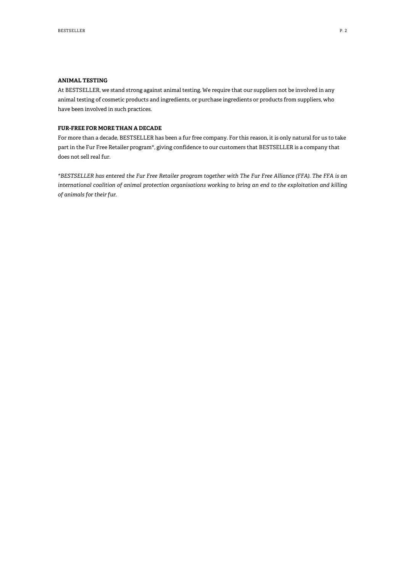#### **ANIMAL TESTING**

At BESTSELLER, we stand strong against animal testing. We require that our suppliers not be involved in any animal testing of cosmetic products and ingredients, or purchase ingredients or products from suppliers, who have been involved in such practices.

#### **FUR-FREE FOR MORE THAN A DECADE**

For more than a decade, BESTSELLER has been a fur free company. For this reason, it is only natural for us to take part in the Fur Free Retailer program\*, giving confidence to our customers that BESTSELLER is a company that does not sell real fur.

*\*BESTSELLER has entered the Fur Free Retailer program together with The Fur Free Alliance (FFA). The FFA is an international coalition of animal protection organisations working to bring an end to the exploitation and killing of animals for their fur.*